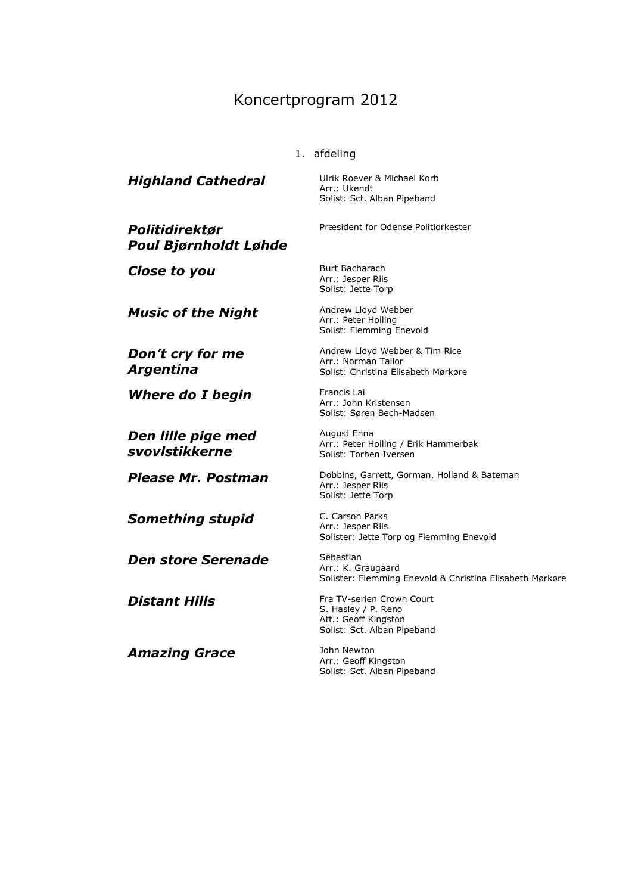## Koncertprogram 2012

## 1. afdeling

**Highland Cathedral** Ulrik Roever & Michael Korb Arr.: Ukendt

*Politidirektør Poul Bjørnholdt Løhde*

**Close to you** Burt Bacharach

*Music of the Night* Andrew Lloyd Webber

*Don't cry for me Argentina*

**Where do I begin** Francis Lai

*Den lille pige med svovlstikkerne*

**Something stupid** C. Carson Parks

*Den store Serenade* Sebastian

*Amazing Grace* John Newton

Solist: Sct. Alban Pipeband

Præsident for Odense Politiorkester

Arr.: Jesper Riis Solist: Jette Torp

Arr.: Peter Holling Solist: Flemming Enevold

Andrew Lloyd Webber & Tim Rice Arr.: Norman Tailor Solist: Christina Elisabeth Mørkøre

Arr.: John Kristensen Solist: Søren Bech-Madsen

August Enna Arr.: Peter Holling / Erik Hammerbak Solist: Torben Iversen

**Please Mr. Postman** Dobbins, Garrett, Gorman, Holland & Bateman Arr.: Jesper Riis Solist: Jette Torp

> Arr.: Jesper Riis Solister: Jette Torp og Flemming Enevold

Arr.: K. Graugaard Solister: Flemming Enevold & Christina Elisabeth Mørkøre

**Distant Hills** Fra TV-serien Crown Court S. Hasley / P. Reno Att.: Geoff Kingston Solist: Sct. Alban Pipeband

> Arr.: Geoff Kingston Solist: Sct. Alban Pipeband